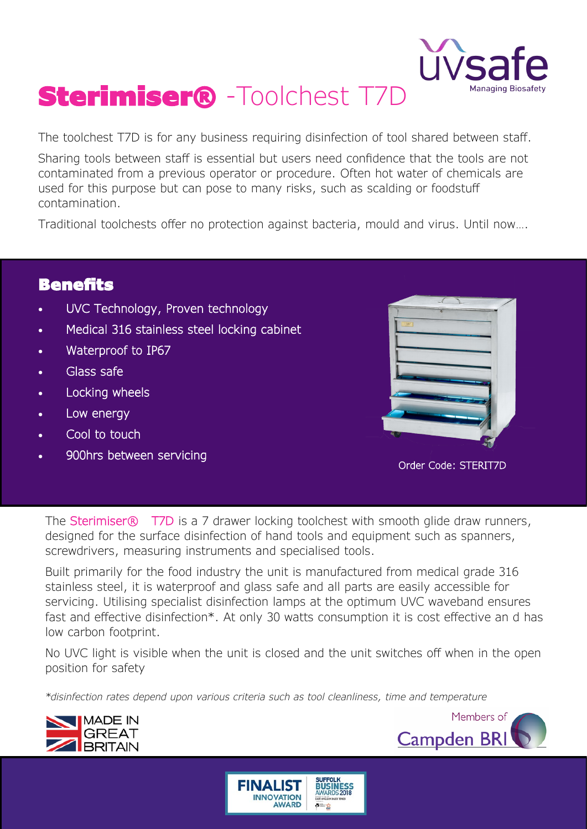

# Sterimiser® -Toolchest T7D

The toolchest T7D is for any business requiring disinfection of tool shared between staff.

Sharing tools between staff is essential but users need confidence that the tools are not contaminated from a previous operator or procedure. Often hot water of chemicals are used for this purpose but can pose to many risks, such as scalding or foodstuff contamination.

Traditional toolchests offer no protection against bacteria, mould and virus. Until now….

## Benefits

- UVC Technology, Proven technology
- Medical 316 stainless steel locking cabinet
- Waterproof to IP67
- Glass safe
- Locking wheels
- Low energy
- Cool to touch
- 900hrs between servicing



Order Code: STERIT7D

The Sterimiser<sup>®</sup> T7D is a 7 drawer locking toolchest with smooth glide draw runners, designed for the surface disinfection of hand tools and equipment such as spanners, screwdrivers, measuring instruments and specialised tools.

Built primarily for the food industry the unit is manufactured from medical grade 316 stainless steel, it is waterproof and glass safe and all parts are easily accessible for servicing. Utilising specialist disinfection lamps at the optimum UVC waveband ensures fast and effective disinfection\*. At only 30 watts consumption it is cost effective an d has low carbon footprint.

No UVC light is visible when the unit is closed and the unit switches off when in the open position for safety

*\*disinfection rates depend upon various criteria such as tool cleanliness, time and temperature*